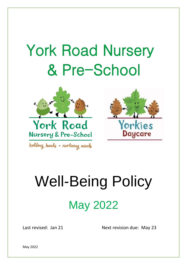## York Road Nursery & Pre-School





holding hands . nurturing minds

# Well-Being Policy May 2022

Last revised: Jan 21 Next revision due: May 23

May 2022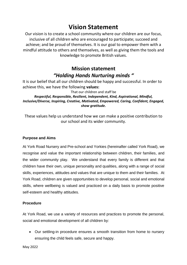## **Vision Statement**

Our vision is to create a school community where our children are our focus, inclusive of all children who are encouraged to participate; succeed and achieve; and be proud of themselves. It is our goal to empower them with a mindful attitude to others and themselves, as well as giving them the tools and knowledge to promote British values.

### **Mission statement** *"Holding Hands Nurturing minds "*

It is our belief that all our children should be happy and successful. In order to achieve this, we have the following **values:**

That our children and staff be *Respectful, Responsible, Resilient, Independent, Kind, Aspirational, Mindful, Inclusive/Diverse, Inspiring, Creative, Motivated, Empowered, Caring, Confident, Engaged, show gratitude.* 

These values help us understand how we can make a positive contribution to our school and its wider community.

#### **Purpose and Aims**

At York Road Nursery and Pre-school and Yorkies (hereinafter called York Road), we recognise and value the important relationship between children, their families, and the wider community play. We understand that every family is different and that children have their own, unique personality and qualities, along with a range of social skills, experiences, attitudes and values that are unique to them and their families. At York Road, children are given opportunities to develop personal, social and emotional skills, where wellbeing is valued and practiced on a daily basis to promote positive self-esteem and healthy attitudes.

#### **Procedure**

At York Road, we use a variety of resources and practices to promote the personal, social and emotional development of all children by:

• Our settling-in procedure ensures a smooth transition from home to nursery ensuring the child feels safe, secure and happy.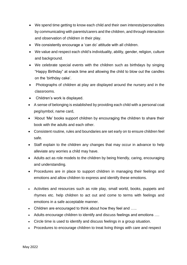- We spend time getting to know each child and their own interests/personalities by communicating with parents/carers and the children, and through interaction and observation of children in their play.
- We consistently encourage a 'can do' attitude with all children.
- We value and respect each child's individuality, ability, gender, religion, culture and background.
- We celebrate special events with the children such as birthdays by singing "Happy Birthday" at snack time and allowing the child to blow out the candles on the 'birthday cake'.
- Photographs of children at play are displayed around the nursery and in the classrooms.
- Children's work is displayed.
- A sense of belonging is established by providing each child with a personal coat peg/symbol, name card,
- 'About 'Me' books support children by encouraging the children to share their book with the adults and each other.
- Consistent routine, rules and boundaries are set early on to ensure children feel safe.
- Staff explain to the children any changes that may occur in advance to help alleviate any worries a child may have.
- Adults act as role models to the children by being friendly, caring, encouraging and understanding.
- Procedures are in place to support children in managing their feelings and emotions and allow children to express and identify these emotions.
- Activities and resources such as role play, small world, books, puppets and rhymes etc. help children to act out and come to terms with feelings and emotions in a safe acceptable manner.
- Children are encouraged to think about how they feel and .....
- Adults encourage children to identify and discuss feelings and emotions ….
- Circle time is used to identify and discuss feelings in a group situation.
- Procedures to encourage children to treat living things with care and respect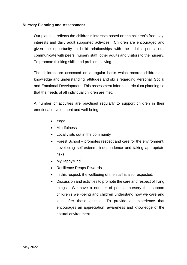#### **Nursery Planning and Assessment**

Our planning reflects the children's interests based on the children's free play, interests and daily adult supported activities. Children are encouraged and given the opportunity to build relationships with the adults, peers, etc. communicate with peers, nursery staff, other adults and visitors to the nursery. To promote thinking skills and problem solving.

The children are assessed on a regular basis which records children's s knowledge and understanding, attitudes and skills regarding Personal, Social and Emotional Development. This assessment informs curriculum planning so that the needs of all individual children are met.

A number of activities are practised regularly to support children in their emotional development and well-being.

- Yoga
- Mindfulness
- Local visits out in the community
- Forest School promotes respect and care for the environment, developing self-esteem, independence and taking appropriate risks.
- MyHappyMind
- Resilience Reaps Rewards
- In this respect, the wellbeing of the staff is also respected.
- Discussion and activities to promote the care and respect of living things. We have a number of pets at nursery that support children's well-being and children understand how we care and look after these animals. To provide an experience that encourages an appreciation, awareness and knowledge of the natural environment.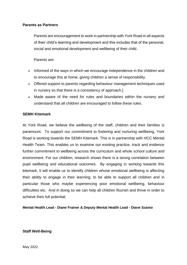#### **Parents as Partners**

Parents are encouragement to work in partnership with York Road in all aspects of their child's learning and development and this includes that of the personal, social and emotional development and wellbeing of their child.

Parents are:

- Informed of the ways in which we encourage independence in the children and to encourage this at home, giving children a sense of responsibility.
- Offered support to parents regarding behaviour management techniques used in nursery so that there is a consistency of approach.]
- Made aware of the need for rules and boundaries within the nursery and understand that all children are encouraged to follow these rules.

#### **SEMH Kitemark**

At York Road, we believe the wellbeing of the staff, children and their families is paramount. To support our commitment to fostering and nurturing wellbeing, York Road is working towards the SEMH Kitemark. This is in partnership with HCC Mental Health Team. This enables us to examine our existing practice, track and evidence further commitment to wellbeing across the curriculum and whole school culture and environment. For our children, research shows there is a strong correlation between pupil wellbeing and educational outcomes. By engaging in working towards this kitemark, it will enable us to identify children whose emotional wellbeing is affecting their ability to engage in their learning; to be able to support all children and in particular those who maybe experiencing poor emotional wellbeing, behaviour difficulties etc. And in doing so we can help all children flourish and thrive in order to achieve their full potential.

**Mental Health Lead - Diane Frainer & Deputy Mental Health Lead - Diane Szanto**

**Staff Well-Being**